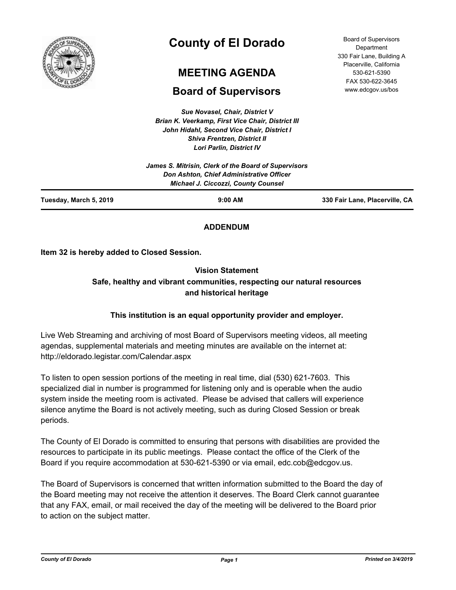

# **County of El Dorado**

# **MEETING AGENDA**

# **Board of Supervisors**

*Sue Novasel, Chair, District V Brian K. Veerkamp, First Vice Chair, District III John Hidahl, Second Vice Chair, District I Shiva Frentzen, District II Lori Parlin, District IV*

330 Fair Lane, Building A Placerville, California 530-621-5390 FAX 530-622-3645 www.edcgov.us/bos

Board of Supervisors **Department** 

| Tuesday, March 5, 2019 | $9:00$ AM                                                                                                                                      | 330 Fair Lane, Placerville, CA |
|------------------------|------------------------------------------------------------------------------------------------------------------------------------------------|--------------------------------|
|                        | James S. Mitrisin, Clerk of the Board of Supervisors<br>Don Ashton, Chief Administrative Officer<br><b>Michael J. Ciccozzi, County Counsel</b> |                                |

# **ADDENDUM**

**Item 32 is hereby added to Closed Session.**

# **Vision Statement Safe, healthy and vibrant communities, respecting our natural resources and historical heritage**

# **This institution is an equal opportunity provider and employer.**

Live Web Streaming and archiving of most Board of Supervisors meeting videos, all meeting agendas, supplemental materials and meeting minutes are available on the internet at: http://eldorado.legistar.com/Calendar.aspx

To listen to open session portions of the meeting in real time, dial (530) 621-7603. This specialized dial in number is programmed for listening only and is operable when the audio system inside the meeting room is activated. Please be advised that callers will experience silence anytime the Board is not actively meeting, such as during Closed Session or break periods.

The County of El Dorado is committed to ensuring that persons with disabilities are provided the resources to participate in its public meetings. Please contact the office of the Clerk of the Board if you require accommodation at 530-621-5390 or via email, edc.cob@edcgov.us.

The Board of Supervisors is concerned that written information submitted to the Board the day of the Board meeting may not receive the attention it deserves. The Board Clerk cannot guarantee that any FAX, email, or mail received the day of the meeting will be delivered to the Board prior to action on the subject matter.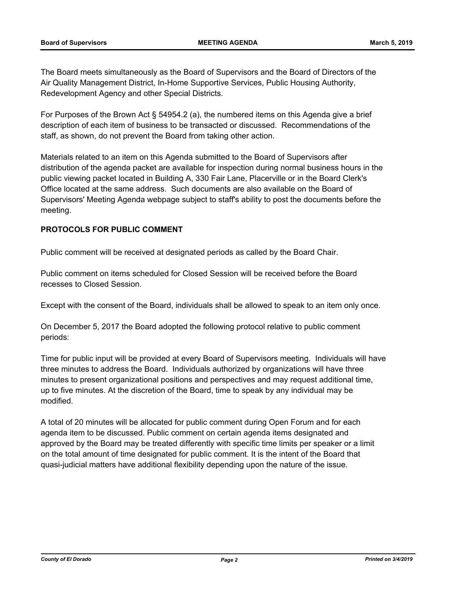The Board meets simultaneously as the Board of Supervisors and the Board of Directors of the Air Quality Management District, In-Home Supportive Services, Public Housing Authority, Redevelopment Agency and other Special Districts.

For Purposes of the Brown Act § 54954.2 (a), the numbered items on this Agenda give a brief description of each item of business to be transacted or discussed. Recommendations of the staff, as shown, do not prevent the Board from taking other action.

Materials related to an item on this Agenda submitted to the Board of Supervisors after distribution of the agenda packet are available for inspection during normal business hours in the public viewing packet located in Building A, 330 Fair Lane, Placerville or in the Board Clerk's Office located at the same address. Such documents are also available on the Board of Supervisors' Meeting Agenda webpage subject to staff's ability to post the documents before the meeting.

## **PROTOCOLS FOR PUBLIC COMMENT**

Public comment will be received at designated periods as called by the Board Chair.

Public comment on items scheduled for Closed Session will be received before the Board recesses to Closed Session.

Except with the consent of the Board, individuals shall be allowed to speak to an item only once.

On December 5, 2017 the Board adopted the following protocol relative to public comment periods:

Time for public input will be provided at every Board of Supervisors meeting. Individuals will have three minutes to address the Board. Individuals authorized by organizations will have three minutes to present organizational positions and perspectives and may request additional time, up to five minutes. At the discretion of the Board, time to speak by any individual may be modified.

A total of 20 minutes will be allocated for public comment during Open Forum and for each agenda item to be discussed. Public comment on certain agenda items designated and approved by the Board may be treated differently with specific time limits per speaker or a limit on the total amount of time designated for public comment. It is the intent of the Board that quasi-judicial matters have additional flexibility depending upon the nature of the issue.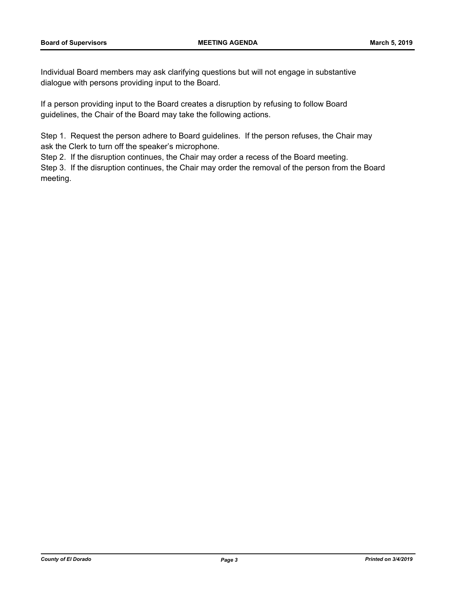Individual Board members may ask clarifying questions but will not engage in substantive dialogue with persons providing input to the Board.

If a person providing input to the Board creates a disruption by refusing to follow Board guidelines, the Chair of the Board may take the following actions.

Step 1. Request the person adhere to Board guidelines. If the person refuses, the Chair may ask the Clerk to turn off the speaker's microphone.

Step 2. If the disruption continues, the Chair may order a recess of the Board meeting.

Step 3. If the disruption continues, the Chair may order the removal of the person from the Board meeting.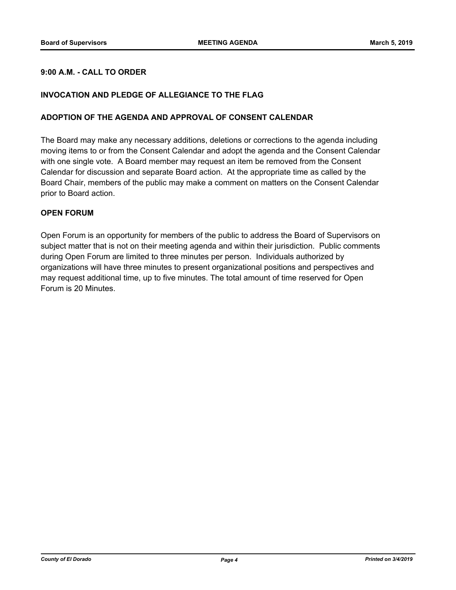## **9:00 A.M. - CALL TO ORDER**

### **INVOCATION AND PLEDGE OF ALLEGIANCE TO THE FLAG**

#### **ADOPTION OF THE AGENDA AND APPROVAL OF CONSENT CALENDAR**

The Board may make any necessary additions, deletions or corrections to the agenda including moving items to or from the Consent Calendar and adopt the agenda and the Consent Calendar with one single vote. A Board member may request an item be removed from the Consent Calendar for discussion and separate Board action. At the appropriate time as called by the Board Chair, members of the public may make a comment on matters on the Consent Calendar prior to Board action.

#### **OPEN FORUM**

Open Forum is an opportunity for members of the public to address the Board of Supervisors on subject matter that is not on their meeting agenda and within their jurisdiction. Public comments during Open Forum are limited to three minutes per person. Individuals authorized by organizations will have three minutes to present organizational positions and perspectives and may request additional time, up to five minutes. The total amount of time reserved for Open Forum is 20 Minutes.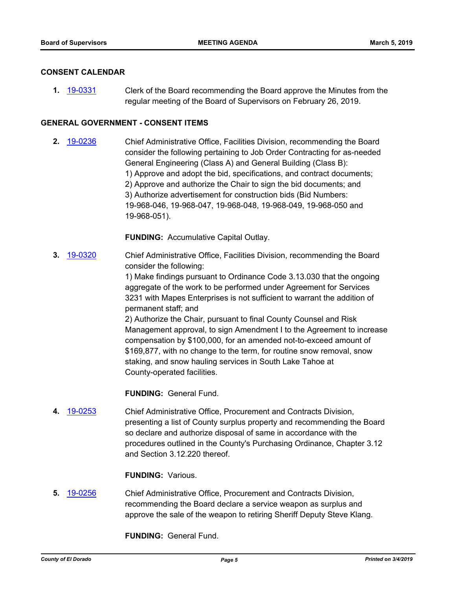#### **CONSENT CALENDAR**

**1.** [19-0331](http://eldorado.legistar.com/gateway.aspx?m=l&id=/matter.aspx?key=25652) Clerk of the Board recommending the Board approve the Minutes from the regular meeting of the Board of Supervisors on February 26, 2019.

### **GENERAL GOVERNMENT - CONSENT ITEMS**

**2.** [19-0236](http://eldorado.legistar.com/gateway.aspx?m=l&id=/matter.aspx?key=25557) Chief Administrative Office, Facilities Division, recommending the Board consider the following pertaining to Job Order Contracting for as-needed General Engineering (Class A) and General Building (Class B): 1) Approve and adopt the bid, specifications, and contract documents; 2) Approve and authorize the Chair to sign the bid documents; and 3) Authorize advertisement for construction bids (Bid Numbers: 19-968-046, 19-968-047, 19-968-048, 19-968-049, 19-968-050 and 19-968-051).

**FUNDING:** Accumulative Capital Outlay.

**3.** [19-0320](http://eldorado.legistar.com/gateway.aspx?m=l&id=/matter.aspx?key=25641) Chief Administrative Office, Facilities Division, recommending the Board consider the following:

> 1) Make findings pursuant to Ordinance Code 3.13.030 that the ongoing aggregate of the work to be performed under Agreement for Services 3231 with Mapes Enterprises is not sufficient to warrant the addition of permanent staff; and

2) Authorize the Chair, pursuant to final County Counsel and Risk Management approval, to sign Amendment I to the Agreement to increase compensation by \$100,000, for an amended not-to-exceed amount of \$169,877, with no change to the term, for routine snow removal, snow staking, and snow hauling services in South Lake Tahoe at County-operated facilities.

**FUNDING:** General Fund.

**4.** [19-0253](http://eldorado.legistar.com/gateway.aspx?m=l&id=/matter.aspx?key=25574) Chief Administrative Office, Procurement and Contracts Division, presenting a list of County surplus property and recommending the Board so declare and authorize disposal of same in accordance with the procedures outlined in the County's Purchasing Ordinance, Chapter 3.12 and Section 3.12.220 thereof.

## **FUNDING:** Various.

**5.** [19-0256](http://eldorado.legistar.com/gateway.aspx?m=l&id=/matter.aspx?key=25577) Chief Administrative Office, Procurement and Contracts Division, recommending the Board declare a service weapon as surplus and approve the sale of the weapon to retiring Sheriff Deputy Steve Klang.

**FUNDING:** General Fund.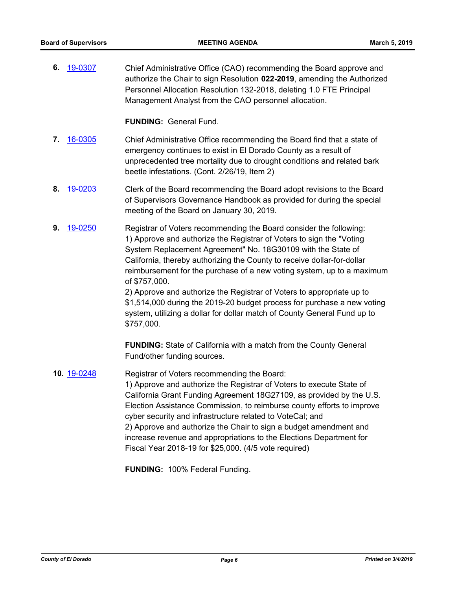**6.** [19-0307](http://eldorado.legistar.com/gateway.aspx?m=l&id=/matter.aspx?key=25629) Chief Administrative Office (CAO) recommending the Board approve and authorize the Chair to sign Resolution **022-2019**, amending the Authorized Personnel Allocation Resolution 132-2018, deleting 1.0 FTE Principal Management Analyst from the CAO personnel allocation.

### **FUNDING:** General Fund.

- **7.** [16-0305](http://eldorado.legistar.com/gateway.aspx?m=l&id=/matter.aspx?key=20961) Chief Administrative Office recommending the Board find that a state of emergency continues to exist in El Dorado County as a result of unprecedented tree mortality due to drought conditions and related bark beetle infestations. (Cont. 2/26/19, Item 2)
- **8.** [19-0203](http://eldorado.legistar.com/gateway.aspx?m=l&id=/matter.aspx?key=25523) Clerk of the Board recommending the Board adopt revisions to the Board of Supervisors Governance Handbook as provided for during the special meeting of the Board on January 30, 2019.
- **9.** [19-0250](http://eldorado.legistar.com/gateway.aspx?m=l&id=/matter.aspx?key=25571) Registrar of Voters recommending the Board consider the following: 1) Approve and authorize the Registrar of Voters to sign the "Voting System Replacement Agreement" No. 18G30109 with the State of California, thereby authorizing the County to receive dollar-for-dollar reimbursement for the purchase of a new voting system, up to a maximum of \$757,000.

2) Approve and authorize the Registrar of Voters to appropriate up to \$1,514,000 during the 2019-20 budget process for purchase a new voting system, utilizing a dollar for dollar match of County General Fund up to \$757,000.

**FUNDING:** State of California with a match from the County General Fund/other funding sources.

**10.** [19-0248](http://eldorado.legistar.com/gateway.aspx?m=l&id=/matter.aspx?key=25569) Registrar of Voters recommending the Board: 1) Approve and authorize the Registrar of Voters to execute State of California Grant Funding Agreement 18G27109, as provided by the U.S. Election Assistance Commission, to reimburse county efforts to improve cyber security and infrastructure related to VoteCal; and 2) Approve and authorize the Chair to sign a budget amendment and increase revenue and appropriations to the Elections Department for Fiscal Year 2018-19 for \$25,000. (4/5 vote required)

**FUNDING:** 100% Federal Funding.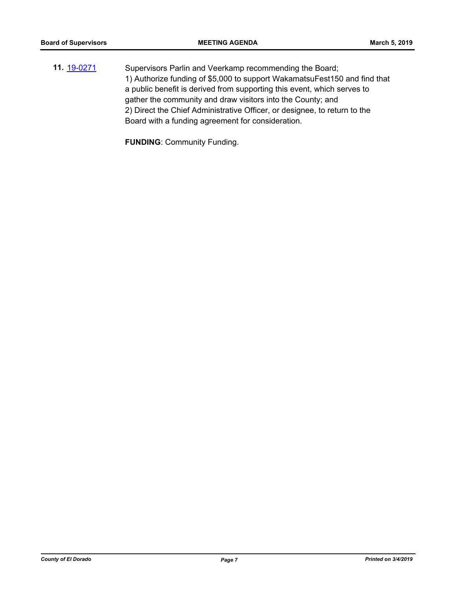**11.** [19-0271](http://eldorado.legistar.com/gateway.aspx?m=l&id=/matter.aspx?key=25593) Supervisors Parlin and Veerkamp recommending the Board; 1) Authorize funding of \$5,000 to support WakamatsuFest150 and find that a public benefit is derived from supporting this event, which serves to gather the community and draw visitors into the County; and 2) Direct the Chief Administrative Officer, or designee, to return to the Board with a funding agreement for consideration.

**FUNDING**: Community Funding.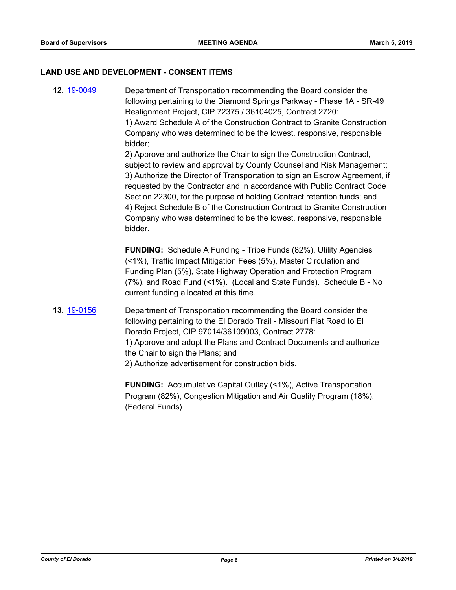#### **LAND USE AND DEVELOPMENT - CONSENT ITEMS**

**12.** [19-0049](http://eldorado.legistar.com/gateway.aspx?m=l&id=/matter.aspx?key=25370) Department of Transportation recommending the Board consider the following pertaining to the Diamond Springs Parkway - Phase 1A - SR-49 Realignment Project, CIP 72375 / 36104025, Contract 2720: 1) Award Schedule A of the Construction Contract to Granite Construction Company who was determined to be the lowest, responsive, responsible bidder;

2) Approve and authorize the Chair to sign the Construction Contract, subject to review and approval by County Counsel and Risk Management; 3) Authorize the Director of Transportation to sign an Escrow Agreement, if requested by the Contractor and in accordance with Public Contract Code Section 22300, for the purpose of holding Contract retention funds; and 4) Reject Schedule B of the Construction Contract to Granite Construction Company who was determined to be the lowest, responsive, responsible bidder.

**FUNDING:** Schedule A Funding - Tribe Funds (82%), Utility Agencies (<1%), Traffic Impact Mitigation Fees (5%), Master Circulation and Funding Plan (5%), State Highway Operation and Protection Program (7%), and Road Fund (<1%). (Local and State Funds). Schedule B - No current funding allocated at this time.

**13.** [19-0156](http://eldorado.legistar.com/gateway.aspx?m=l&id=/matter.aspx?key=25476) Department of Transportation recommending the Board consider the following pertaining to the El Dorado Trail - Missouri Flat Road to El Dorado Project, CIP 97014/36109003, Contract 2778: 1) Approve and adopt the Plans and Contract Documents and authorize the Chair to sign the Plans; and 2) Authorize advertisement for construction bids.

> **FUNDING:** Accumulative Capital Outlay (<1%), Active Transportation Program (82%), Congestion Mitigation and Air Quality Program (18%). (Federal Funds)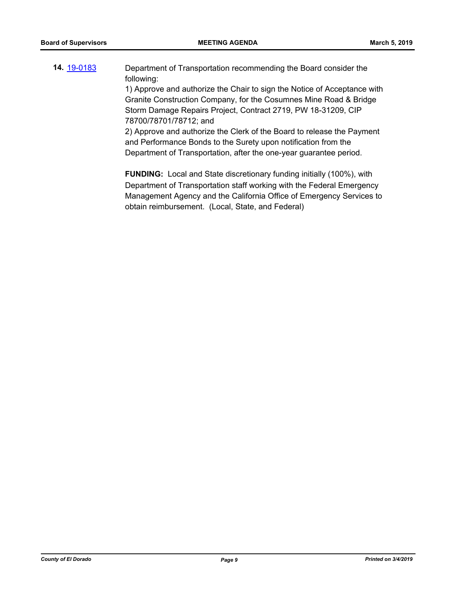**14.** [19-0183](http://eldorado.legistar.com/gateway.aspx?m=l&id=/matter.aspx?key=25503) Department of Transportation recommending the Board consider the following:

1) Approve and authorize the Chair to sign the Notice of Acceptance with Granite Construction Company, for the Cosumnes Mine Road & Bridge Storm Damage Repairs Project, Contract 2719, PW 18-31209, CIP 78700/78701/78712; and

2) Approve and authorize the Clerk of the Board to release the Payment and Performance Bonds to the Surety upon notification from the Department of Transportation, after the one-year guarantee period.

**FUNDING:** Local and State discretionary funding initially (100%), with Department of Transportation staff working with the Federal Emergency Management Agency and the California Office of Emergency Services to obtain reimbursement. (Local, State, and Federal)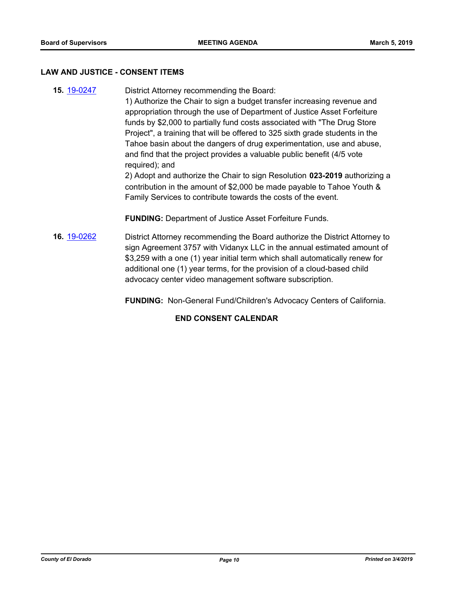#### **LAW AND JUSTICE - CONSENT ITEMS**

**15.** [19-0247](http://eldorado.legistar.com/gateway.aspx?m=l&id=/matter.aspx?key=25568) District Attorney recommending the Board: 1) Authorize the Chair to sign a budget transfer increasing revenue and appropriation through the use of Department of Justice Asset Forfeiture funds by \$2,000 to partially fund costs associated with "The Drug Store Project", a training that will be offered to 325 sixth grade students in the Tahoe basin about the dangers of drug experimentation, use and abuse, and find that the project provides a valuable public benefit (4/5 vote required); and 2) Adopt and authorize the Chair to sign Resolution **023-2019** authorizing a contribution in the amount of \$2,000 be made payable to Tahoe Youth & Family Services to contribute towards the costs of the event.

**FUNDING:** Department of Justice Asset Forfeiture Funds.

**16.** [19-0262](http://eldorado.legistar.com/gateway.aspx?m=l&id=/matter.aspx?key=25583) District Attorney recommending the Board authorize the District Attorney to sign Agreement 3757 with Vidanyx LLC in the annual estimated amount of \$3,259 with a one (1) year initial term which shall automatically renew for additional one (1) year terms, for the provision of a cloud-based child advocacy center video management software subscription.

**FUNDING:** Non-General Fund/Children's Advocacy Centers of California.

## **END CONSENT CALENDAR**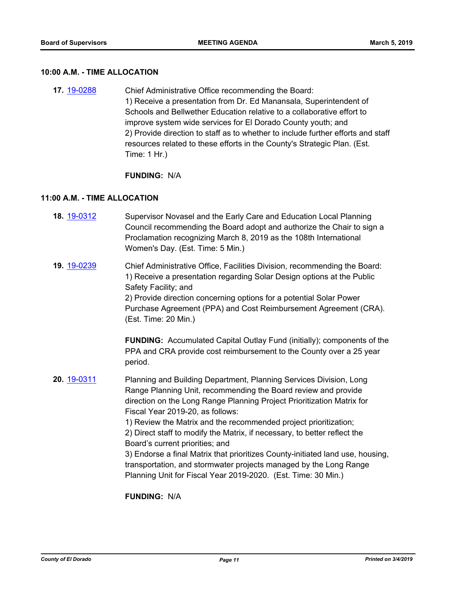#### **10:00 A.M. - TIME ALLOCATION**

**17.** [19-0288](http://eldorado.legistar.com/gateway.aspx?m=l&id=/matter.aspx?key=25610) Chief Administrative Office recommending the Board: 1) Receive a presentation from Dr. Ed Manansala, Superintendent of Schools and Bellwether Education relative to a collaborative effort to improve system wide services for El Dorado County youth; and 2) Provide direction to staff as to whether to include further efforts and staff resources related to these efforts in the County's Strategic Plan. (Est. Time: 1 Hr.)

#### **FUNDING:** N/A

#### **11:00 A.M. - TIME ALLOCATION**

- **18.** [19-0312](http://eldorado.legistar.com/gateway.aspx?m=l&id=/matter.aspx?key=25634) Supervisor Novasel and the Early Care and Education Local Planning Council recommending the Board adopt and authorize the Chair to sign a Proclamation recognizing March 8, 2019 as the 108th International Women's Day. (Est. Time: 5 Min.)
- **19.** [19-0239](http://eldorado.legistar.com/gateway.aspx?m=l&id=/matter.aspx?key=25560) Chief Administrative Office, Facilities Division, recommending the Board: 1) Receive a presentation regarding Solar Design options at the Public Safety Facility; and 2) Provide direction concerning options for a potential Solar Power Purchase Agreement (PPA) and Cost Reimbursement Agreement (CRA). (Est. Time: 20 Min.)

**FUNDING:** Accumulated Capital Outlay Fund (initially); components of the PPA and CRA provide cost reimbursement to the County over a 25 year period.

**20.** [19-0311](http://eldorado.legistar.com/gateway.aspx?m=l&id=/matter.aspx?key=25633) Planning and Building Department, Planning Services Division, Long Range Planning Unit, recommending the Board review and provide direction on the Long Range Planning Project Prioritization Matrix for Fiscal Year 2019-20, as follows:

> 1) Review the Matrix and the recommended project prioritization; 2) Direct staff to modify the Matrix, if necessary, to better reflect the Board's current priorities; and

3) Endorse a final Matrix that prioritizes County-initiated land use, housing, transportation, and stormwater projects managed by the Long Range Planning Unit for Fiscal Year 2019-2020. (Est. Time: 30 Min.)

**FUNDING:** N/A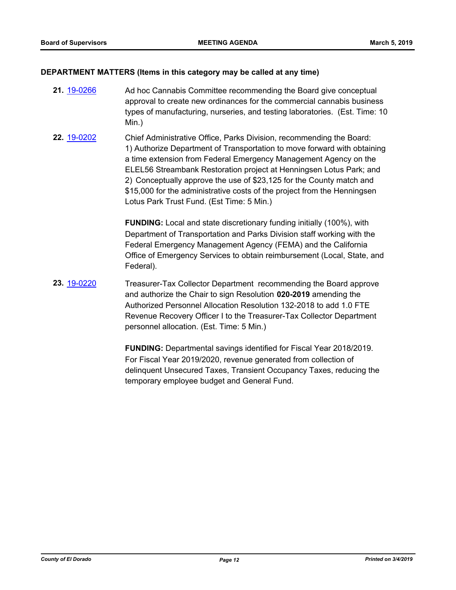#### **DEPARTMENT MATTERS (Items in this category may be called at any time)**

- **21.** [19-0266](http://eldorado.legistar.com/gateway.aspx?m=l&id=/matter.aspx?key=25588) Ad hoc Cannabis Committee recommending the Board give conceptual approval to create new ordinances for the commercial cannabis business types of manufacturing, nurseries, and testing laboratories. (Est. Time: 10 Min.)
- **22.** [19-0202](http://eldorado.legistar.com/gateway.aspx?m=l&id=/matter.aspx?key=25522) Chief Administrative Office, Parks Division, recommending the Board: 1) Authorize Department of Transportation to move forward with obtaining a time extension from Federal Emergency Management Agency on the ELEL56 Streambank Restoration project at Henningsen Lotus Park; and 2) Conceptually approve the use of \$23,125 for the County match and \$15,000 for the administrative costs of the project from the Henningsen Lotus Park Trust Fund. (Est Time: 5 Min.)

**FUNDING:** Local and state discretionary funding initially (100%), with Department of Transportation and Parks Division staff working with the Federal Emergency Management Agency (FEMA) and the California Office of Emergency Services to obtain reimbursement (Local, State, and Federal).

**23.** [19-0220](http://eldorado.legistar.com/gateway.aspx?m=l&id=/matter.aspx?key=25540) Treasurer-Tax Collector Department recommending the Board approve and authorize the Chair to sign Resolution **020-2019** amending the Authorized Personnel Allocation Resolution 132-2018 to add 1.0 FTE Revenue Recovery Officer I to the Treasurer-Tax Collector Department personnel allocation. (Est. Time: 5 Min.)

> **FUNDING:** Departmental savings identified for Fiscal Year 2018/2019. For Fiscal Year 2019/2020, revenue generated from collection of delinquent Unsecured Taxes, Transient Occupancy Taxes, reducing the temporary employee budget and General Fund.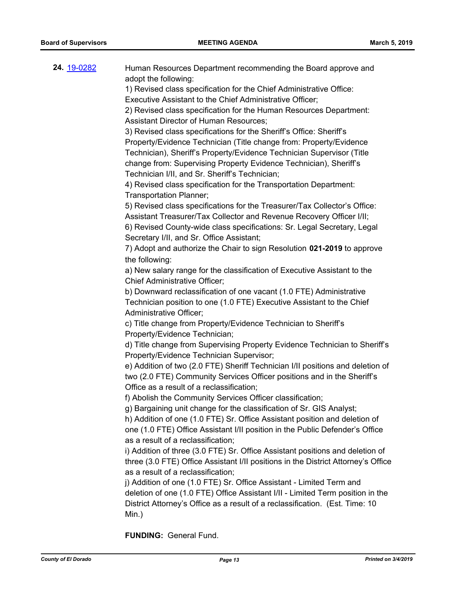| <b>24.</b> 19-0282 | Human Resources Department recommending the Board approve and<br>adopt the following:<br>1) Revised class specification for the Chief Administrative Office:<br>Executive Assistant to the Chief Administrative Officer;<br>2) Revised class specification for the Human Resources Department:<br>Assistant Director of Human Resources;<br>3) Revised class specifications for the Sheriff's Office: Sheriff's<br>Property/Evidence Technician (Title change from: Property/Evidence<br>Technician), Sheriff's Property/Evidence Technician Supervisor (Title<br>change from: Supervising Property Evidence Technician), Sheriff's<br>Technician I/II, and Sr. Sheriff's Technician;<br>4) Revised class specification for the Transportation Department:<br>Transportation Planner;<br>5) Revised class specifications for the Treasurer/Tax Collector's Office:<br>Assistant Treasurer/Tax Collector and Revenue Recovery Officer I/II;<br>6) Revised County-wide class specifications: Sr. Legal Secretary, Legal<br>Secretary I/II, and Sr. Office Assistant;<br>7) Adopt and authorize the Chair to sign Resolution 021-2019 to approve<br>the following:<br>a) New salary range for the classification of Executive Assistant to the<br><b>Chief Administrative Officer;</b><br>b) Downward reclassification of one vacant (1.0 FTE) Administrative<br>Technician position to one (1.0 FTE) Executive Assistant to the Chief<br>Administrative Officer;<br>c) Title change from Property/Evidence Technician to Sheriff's<br>Property/Evidence Technician;<br>d) Title change from Supervising Property Evidence Technician to Sheriff's<br>Property/Evidence Technician Supervisor;<br>e) Addition of two (2.0 FTE) Sheriff Technician I/II positions and deletion of<br>two (2.0 FTE) Community Services Officer positions and in the Sheriff's<br>Office as a result of a reclassification;<br>f) Abolish the Community Services Officer classification;<br>g) Bargaining unit change for the classification of Sr. GIS Analyst;<br>h) Addition of one (1.0 FTE) Sr. Office Assistant position and deletion of<br>one (1.0 FTE) Office Assistant I/II position in the Public Defender's Office<br>as a result of a reclassification; |
|--------------------|------------------------------------------------------------------------------------------------------------------------------------------------------------------------------------------------------------------------------------------------------------------------------------------------------------------------------------------------------------------------------------------------------------------------------------------------------------------------------------------------------------------------------------------------------------------------------------------------------------------------------------------------------------------------------------------------------------------------------------------------------------------------------------------------------------------------------------------------------------------------------------------------------------------------------------------------------------------------------------------------------------------------------------------------------------------------------------------------------------------------------------------------------------------------------------------------------------------------------------------------------------------------------------------------------------------------------------------------------------------------------------------------------------------------------------------------------------------------------------------------------------------------------------------------------------------------------------------------------------------------------------------------------------------------------------------------------------------------------------------------------------------------------------------------------------------------------------------------------------------------------------------------------------------------------------------------------------------------------------------------------------------------------------------------------------------------------------------------------------------------------------------------------------------------------------------------------------------------------------------------|
|                    | i) Addition of three (3.0 FTE) Sr. Office Assistant positions and deletion of<br>three (3.0 FTE) Office Assistant I/II positions in the District Attorney's Office<br>as a result of a reclassification;<br>j) Addition of one (1.0 FTE) Sr. Office Assistant - Limited Term and<br>deletion of one (1.0 FTE) Office Assistant I/II - Limited Term position in the<br>District Attorney's Office as a result of a reclassification. (Est. Time: 10<br>Min.)                                                                                                                                                                                                                                                                                                                                                                                                                                                                                                                                                                                                                                                                                                                                                                                                                                                                                                                                                                                                                                                                                                                                                                                                                                                                                                                                                                                                                                                                                                                                                                                                                                                                                                                                                                                    |

**FUNDING:** General Fund.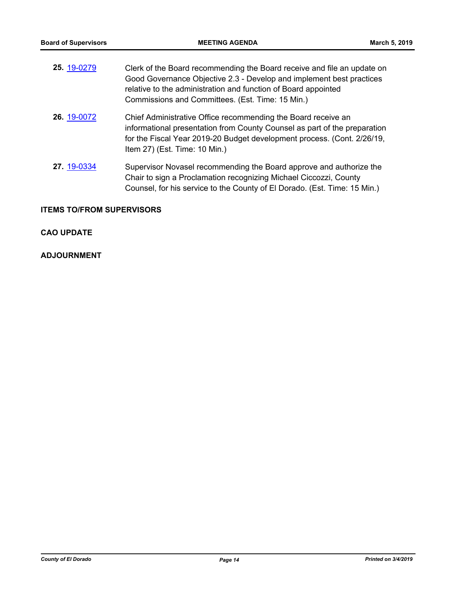| 25. 19-0279 | Clerk of the Board recommending the Board receive and file an update on<br>Good Governance Objective 2.3 - Develop and implement best practices<br>relative to the administration and function of Board appointed<br>Commissions and Committees. (Est. Time: 15 Min.) |
|-------------|-----------------------------------------------------------------------------------------------------------------------------------------------------------------------------------------------------------------------------------------------------------------------|
| 26. 19-0072 | Chief Administrative Office recommending the Board receive an<br>informational presentation from County Counsel as part of the preparation<br>for the Fiscal Year 2019-20 Budget development process. (Cont. 2/26/19,<br>Item 27) (Est. Time: 10 Min.)                |
| 27. 19-0334 | Supervisor Novasel recommending the Board approve and authorize the<br>Chair to sign a Proclamation recognizing Michael Ciccozzi, County<br>Counsel, for his service to the County of El Dorado. (Est. Time: 15 Min.)                                                 |

# **ITEMS TO/FROM SUPERVISORS**

## **CAO UPDATE**

# **ADJOURNMENT**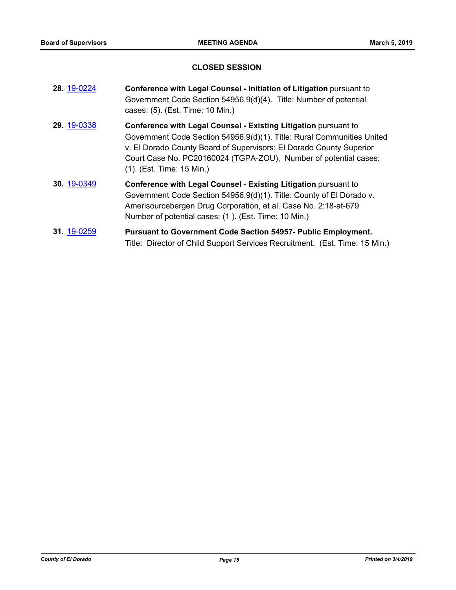## **CLOSED SESSION**

| 28. 19-0224 | Conference with Legal Counsel - Initiation of Litigation pursuant to<br>Government Code Section 54956.9(d)(4). Title: Number of potential<br>cases: (5). (Est. Time: 10 Min.)                                                                                                                                            |
|-------------|--------------------------------------------------------------------------------------------------------------------------------------------------------------------------------------------------------------------------------------------------------------------------------------------------------------------------|
| 29. 19-0338 | <b>Conference with Legal Counsel - Existing Litigation pursuant to</b><br>Government Code Section 54956.9(d)(1). Title: Rural Communities United<br>v. El Dorado County Board of Supervisors; El Dorado County Superior<br>Court Case No. PC20160024 (TGPA-ZOU), Number of potential cases:<br>(1). (Est. Time: 15 Min.) |
| 30. 19-0349 | <b>Conference with Legal Counsel - Existing Litigation pursuant to</b><br>Government Code Section 54956.9(d)(1). Title: County of El Dorado v.<br>Amerisourcebergen Drug Corporation, et al. Case No. 2:18-at-679<br>Number of potential cases: (1). (Est. Time: 10 Min.)                                                |
| 31. 19-0259 | <b>Pursuant to Government Code Section 54957- Public Employment.</b><br>Title: Director of Child Support Services Recruitment. (Est. Time: 15 Min.)                                                                                                                                                                      |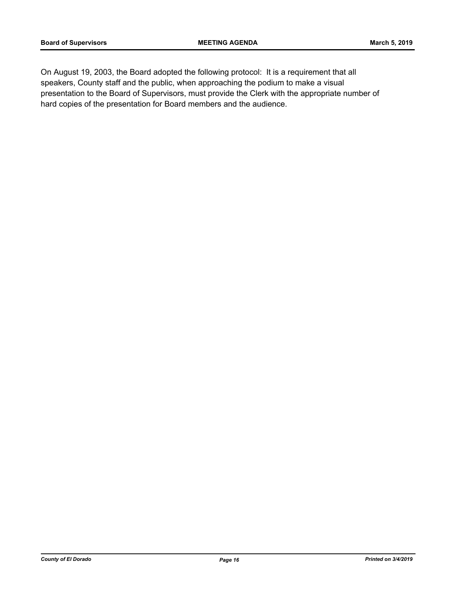On August 19, 2003, the Board adopted the following protocol: It is a requirement that all speakers, County staff and the public, when approaching the podium to make a visual presentation to the Board of Supervisors, must provide the Clerk with the appropriate number of hard copies of the presentation for Board members and the audience.